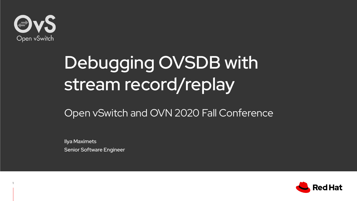

1

# Debugging OVSDB with stream record/replay

#### Open vSwitch and OVN 2020 Fall Conference

Ilya Maximets Senior Software Engineer

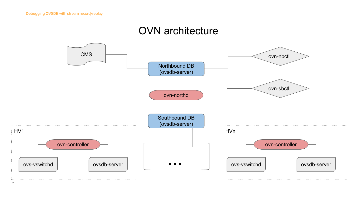#### OVN architecture

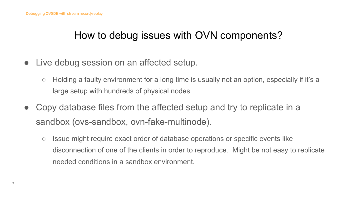### How to debug issues with OVN components?

- Live debug session on an affected setup.
	- Holding a faulty environment for a long time is usually not an option, especially if it's a large setup with hundreds of physical nodes.
- Copy database files from the affected setup and try to replicate in a sandbox (ovs-sandbox, ovn-fake-multinode).
	- Issue might require exact order of database operations or specific events like disconnection of one of the clients in order to reproduce. Might be not easy to replicate needed conditions in a sandbox environment.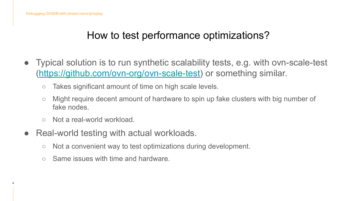# How to test performance optimizations?

- Typical solution is to run synthetic scalability tests, e.g. with ovn-scale-test (<https://github.com/ovn-org/ovn-scale-test>) or something similar.
	- Takes significant amount of time on high scale levels.
	- Might require decent amount of hardware to spin up fake clusters with big number of fake nodes.
	- Not a real-world workload.
- Real-world testing with actual workloads.
	- Not a convenient way to test optimizations during development.
	- Same issues with time and hardware.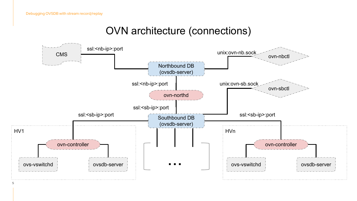#### OVN architecture (connections)

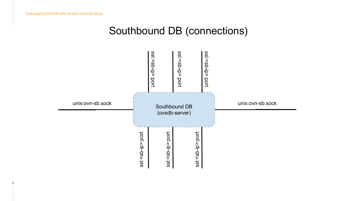#### Southbound DB (connections)

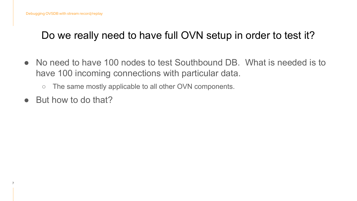# Do we really need to have full OVN setup in order to test it?

- No need to have 100 nodes to test Southbound DB. What is needed is to have 100 incoming connections with particular data.
	- The same mostly applicable to all other OVN components.
- But how to do that?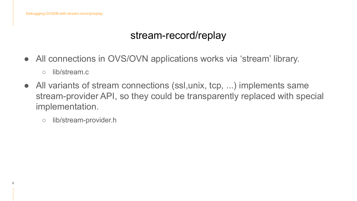#### stream-record/replay

- All connections in OVS/OVN applications works via 'stream' library.
	- lib/stream.c

- All variants of stream connections (ssl,unix, tcp, ...) implements same stream-provider API, so they could be transparently replaced with special implementation.
	- lib/stream-provider.h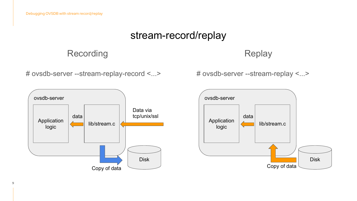#### stream-record/replay

#### Recording

Replay

# ovsdb-server --stream-replay-record <...>

# ovsdb-server --stream-replay <...>



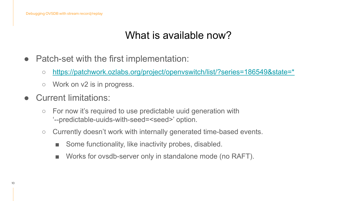# What is available now?

- Patch-set with the first implementation:
	- [https://patchwork.ozlabs.org/project/openvswitch/list/?series=186549&state=\\*](https://patchwork.ozlabs.org/project/openvswitch/list/?series=186549&state=*)
	- Work on v2 is in progress.
- Current limitations:
	- For now it's required to use predictable uuid generation with '--predictable-uuids-with-seed=<seed>' option.
	- Currently doesn't work with internally generated time-based events.
		- Some functionality, like inactivity probes, disabled.
		- Works for ovsdb-server only in standalone mode (no RAFT).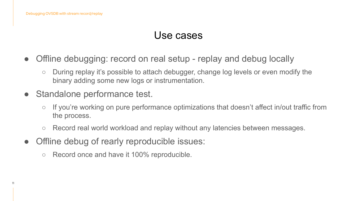11

#### Use cases

- Offline debugging: record on real setup replay and debug locally
	- During replay it's possible to attach debugger, change log levels or even modify the binary adding some new logs or instrumentation.
- Standalone performance test.
	- If you're working on pure performance optimizations that doesn't affect in/out traffic from the process.
	- Record real world workload and replay without any latencies between messages.
- Offline debug of rearly reproducible issues:
	- Record once and have it 100% reproducible.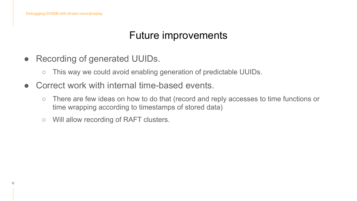### Future improvements

- Recording of generated UUIDs.
	- $\circ$  This way we could avoid enabling generation of predictable UUIDs.
- Correct work with internal time-based events.
	- There are few ideas on how to do that (record and reply accesses to time functions or time wrapping according to timestamps of stored data)
	- Will allow recording of RAFT clusters.